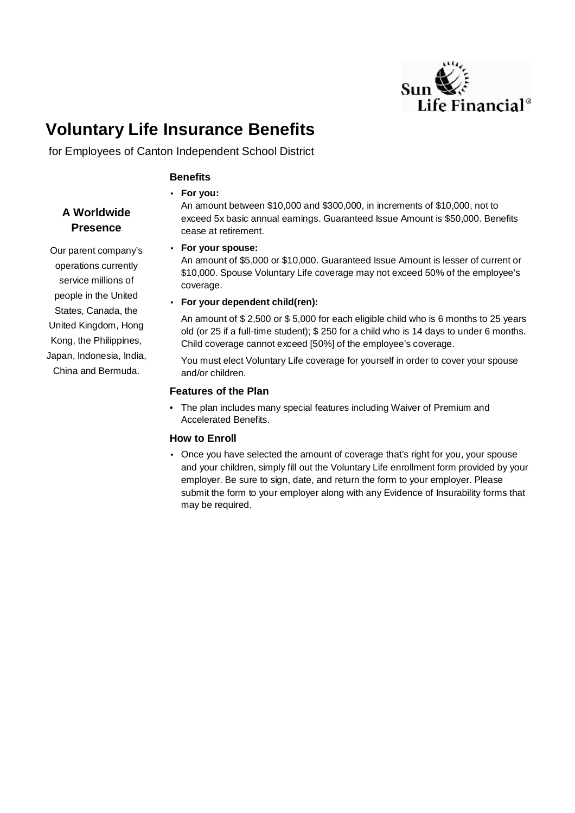

# **Voluntary Life Insurance Benefits**

for Employees of Canton Independent School District

# **Benefits**

#### • **For you:**

# **A Worldwide Presence**

Our parent company's operations currently service millions of people in the United States, Canada, the United Kingdom, Hong Kong, the Philippines, Japan, Indonesia, India, China and Bermuda.

An amount between \$10,000 and \$300,000, in increments of \$10,000, not to exceed 5x basic annual earnings. Guaranteed Issue Amount is \$50,000. Benefits cease at retirement.

#### • **For your spouse:**

An amount of \$5,000 or \$10,000. Guaranteed Issue Amount is lesser of current or \$10,000. Spouse Voluntary Life coverage may not exceed 50% of the employee's coverage.

#### • **For your dependent child(ren):**

An amount of \$ 2,500 or \$ 5,000 for each eligible child who is 6 months to 25 years old (or 25 if a full-time student); \$ 250 for a child who is 14 days to under 6 months. Child coverage cannot exceed [50%] of the employee's coverage.

You must elect Voluntary Life coverage for yourself in order to cover your spouse and/or children.

#### **Features of the Plan**

• The plan includes many special features including Waiver of Premium and Accelerated Benefits.

### **How to Enroll**

• Once you have selected the amount of coverage that's right for you, your spouse and your children, simply fill out the Voluntary Life enrollment form provided by your employer. Be sure to sign, date, and return the form to your employer. Please submit the form to your employer along with any Evidence of Insurability forms that may be required.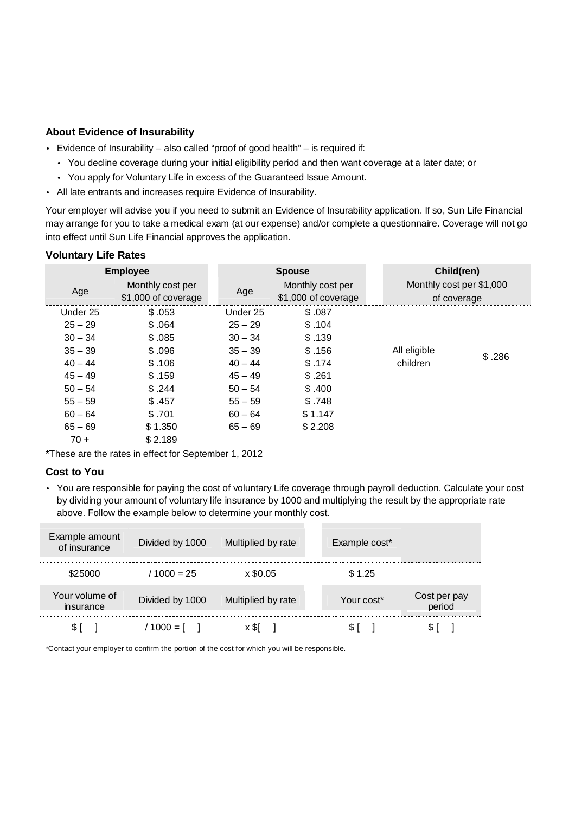# **About Evidence of Insurability**

- Evidence of Insurability also called "proof of good health" is required if:
	- You decline coverage during your initial eligibility period and then want coverage at a later date; or
	- You apply for Voluntary Life in excess of the Guaranteed Issue Amount.
- All late entrants and increases require Evidence of Insurability.

Your employer will advise you if you need to submit an Evidence of Insurability application. If so, Sun Life Financial may arrange for you to take a medical exam (at our expense) and/or complete a questionnaire. Coverage will not go into effect until Sun Life Financial approves the application.

| <b>Employee</b>        |                                         | <b>Spouse</b>          |                                         |                          | Child(ren)                              |  |
|------------------------|-----------------------------------------|------------------------|-----------------------------------------|--------------------------|-----------------------------------------|--|
| Age                    | Monthly cost per<br>\$1,000 of coverage | Age                    | Monthly cost per<br>\$1,000 of coverage |                          | Monthly cost per \$1,000<br>of coverage |  |
| Under 25<br>$25 - 29$  | \$.053                                  | Under 25<br>$25 - 29$  | \$.087                                  |                          |                                         |  |
| $30 - 34$              | \$.064<br>\$.085                        | $30 - 34$              | \$.104<br>\$.139                        |                          |                                         |  |
| $35 - 39$              | \$.096                                  | $35 - 39$              | \$.156                                  | All eligible<br>children | \$.286                                  |  |
| $40 - 44$<br>$45 - 49$ | \$.106<br>\$.159                        | $40 - 44$<br>$45 - 49$ | \$.174<br>\$.261                        |                          |                                         |  |
| $50 - 54$              | \$.244                                  | $50 - 54$              | \$.400                                  |                          |                                         |  |
| $55 - 59$              | \$.457                                  | $55 - 59$              | \$.748                                  |                          |                                         |  |
| $60 - 64$              | \$.701                                  | $60 - 64$              | \$1.147                                 |                          |                                         |  |
| $65 - 69$              | \$1.350                                 | $65 - 69$              | \$2.208                                 |                          |                                         |  |
| $70 +$                 | \$2.189                                 |                        |                                         |                          |                                         |  |

**Voluntary Life Rates** 

\*These are the rates in effect for September 1, 2012

### **Cost to You**

• You are responsible for paying the cost of voluntary Life coverage through payroll deduction. Calculate your cost by dividing your amount of voluntary life insurance by 1000 and multiplying the result by the appropriate rate above. Follow the example below to determine your monthly cost.

| Example amount<br>of insurance | Divided by 1000 | Multiplied by rate | Example cost* |                        |
|--------------------------------|-----------------|--------------------|---------------|------------------------|
| \$25000                        | / 1000 = 25     | x\$0.05            | \$1.25        |                        |
| Your volume of<br>insurance    | Divided by 1000 | Multiplied by rate | Your cost*    | Cost per pay<br>period |
|                                | $/ 1000 =$ [    | x \$I              | \$.           |                        |

\*Contact your employer to confirm the portion of the cost for which you will be responsible.